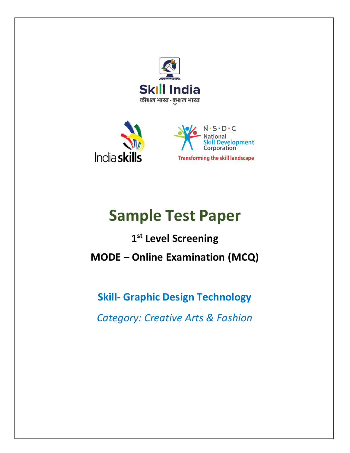



# **Sample Test Paper**

**1 st Level Screening MODE – Online Examination (MCQ)**

**Skill- Graphic Design Technology**

*Category: Creative Arts & Fashion*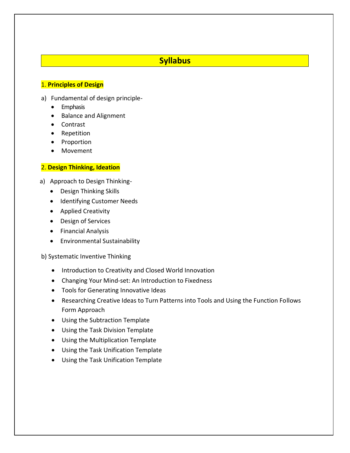## **Syllabus**

#### 1. **Principles of Design**

- a) Fundamental of design principle-
	- Emphasis
	- Balance and Alignment
	- Contrast
	- Repetition
	- Proportion
	- Movement

#### 2. **Design Thinking, Ideation**

a) Approach to Design Thinking-

- Design Thinking Skills
- Identifying Customer Needs
- **•** Applied Creativity
- Design of Services
- **•** Financial Analysis
- Environmental Sustainability

#### b) Systematic Inventive Thinking

- Introduction to Creativity and Closed World Innovation
- Changing Your Mind-set: An Introduction to Fixedness
- Tools for Generating Innovative Ideas
- Researching Creative Ideas to Turn Patterns into Tools and Using the Function Follows Form Approach
- Using the Subtraction Template
- Using the Task Division Template
- Using the Multiplication Template
- Using the Task Unification Template
- Using the Task Unification Template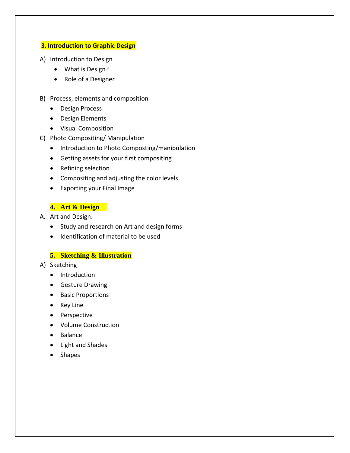#### **3. Introduction to Graphic Design**

- A) Introduction to Design
	- What is Design?
	- Role of a Designer
- B) Process, elements and composition
	- Design Process
	- Design Elements
	- Visual Composition
- C) Photo Compositing/ Manipulation
	- Introduction to Photo Composting/manipulation
	- Getting assets for your first compositing
	- Refining selection
	- Compositing and adjusting the color levels
	- Exporting your Final Image

#### **4. Art & Design**

- A. Art and Design:
	- Study and research on Art and design forms
	- Identification of material to be used

#### **5. Sketching & Illustration**

- A) Sketching
	- Introduction
	- **•** Gesture Drawing
	- Basic Proportions
	- Key Line
	- Perspective
	- Volume Construction
	- Balance
	- Light and Shades
	- Shapes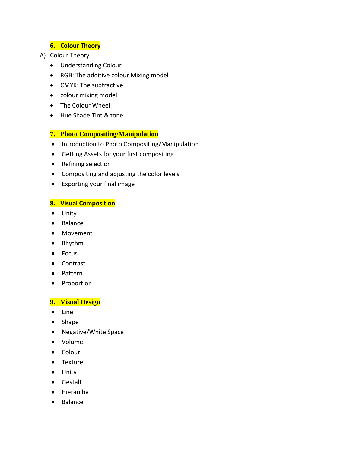#### **6. Colour Theory**

#### A) Colour Theory

- Understanding Colour
- RGB: The additive colour Mixing model
- CMYK: The subtractive
- colour mixing model
- The Colour Wheel
- Hue Shade Tint & tone

#### **7. Photo Compositing/Manipulation**

- Introduction to Photo Compositing/Manipulation
- Getting Assets for your first compositing
- Refining selection
- Compositing and adjusting the color levels
- Exporting your final image

#### **8. Visual Composition**

- Unity
- Balance
- Movement
- Rhythm
- Focus
- Contrast
- Pattern
- Proportion

#### **9. Visual Design**

- Line
- Shape
- Negative/White Space
- Volume
- Colour
- Texture
- Unity
- Gestalt
- Hierarchy
- Balance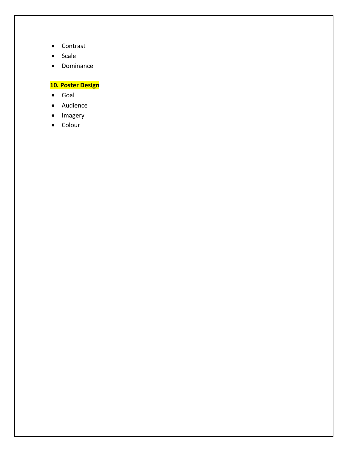- Contrast
- Scale
- Dominance

## **10. Poster Design**

- Goal
- Audience
- Imagery
- Colour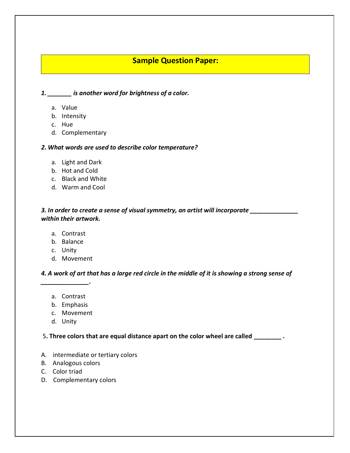## **Sample Question Paper:**

#### *1. \_\_\_\_\_\_\_ is another word for brightness of a color.*

- a. Value
- b. Intensity
- c. Hue
- d. Complementary

#### *2. What words are used to describe color temperature?*

- a. Light and Dark
- b. Hot and Cold
- c. Black and White
- d. Warm and Cool

*3. In order to create a sense of visual symmetry, an artist will incorporate \_\_\_\_\_\_\_\_\_\_\_\_\_\_ within their artwork.*

- a. Contrast
- b. Balance
- c. Unity
- d. Movement

*4. A work of art that has a large red circle in the middle of it is showing a strong sense of* 

a. Contrast

*\_\_\_\_\_\_\_\_\_\_\_\_\_\_.*

- b. Emphasis
- c. Movement
- d. Unity

#### 5**. Three colors that are equal distance apart on the color wheel are called \_\_\_\_\_\_\_\_ .**

- A. intermediate or tertiary colors
- B. Analogous colors
- C. Color triad
- D. Complementary colors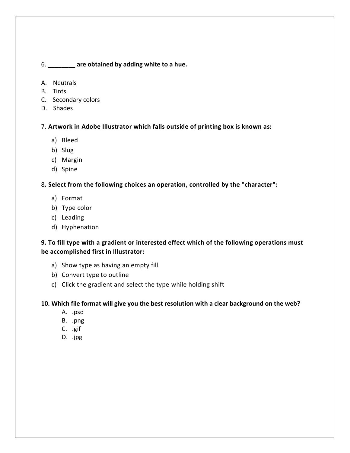#### 6. \_\_\_\_\_\_\_\_ **are obtained by adding white to a hue.**

- A. Neutrals
- B. Tints
- C. Secondary colors
- D. Shades

7. **Artwork in Adobe Illustrator which falls outside of printing box is known as:**

- a) Bleed
- b) Slug
- c) Margin
- d) Spine

8**. Select from the following choices an operation, controlled by the "character":**

- a) Format
- b) Type color
- c) Leading
- d) Hyphenation

## **9. To fill type with a gradient or interested effect which of the following operations must be accomplished first in Illustrator:**

- a) Show type as having an empty fill
- b) Convert type to outline
- c) Click the gradient and select the type while holding shift

#### **10. Which file format will give you the best resolution with a clear background on the web?**

- A. .psd
- B. .png
- C. .gif
- D. .jpg